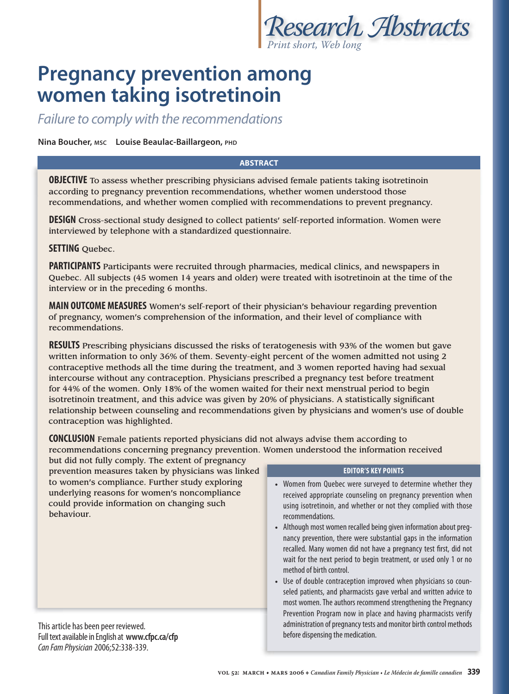*Research Abstracts Print short, Web long*

# **Pregnancy prevention among women taking isotretinoin**

Failure to comply with the recommendations

## **Nina Boucher, MSC Louise Beaulac-Baillargeon, PHD**

## **ABSTRACT**

**OBJECTIVE** To assess whether prescribing physicians advised female patients taking isotretinoin according to pregnancy prevention recommendations, whether women understood those recommendations, and whether women complied with recommendations to prevent pregnancy.

**DESIGN** Cross-sectional study designed to collect patients' self-reported information. Women were interviewed by telephone with a standardized questionnaire.

## **SETTING** Quebec.

**PARTICIPANTS** Participants were recruited through pharmacies, medical clinics, and newspapers in Quebec. All subjects (45 women 14 years and older) were treated with isotretinoin at the time of the interview or in the preceding 6 months.

**MAIN OUTCOME MEASURES** Women's self-report of their physician's behaviour regarding prevention of pregnancy, women's comprehension of the information, and their level of compliance with recommendations.

**RESULTS** Prescribing physicians discussed the risks of teratogenesis with 93% of the women but gave written information to only 36% of them. Seventy-eight percent of the women admitted not using 2 contraceptive methods all the time during the treatment, and 3 women reported having had sexual intercourse without any contraception. Physicians prescribed a pregnancy test before treatment for 44% of the women. Only 18% of the women waited for their next menstrual period to begin isotretinoin treatment, and this advice was given by 20% of physicians. A statistically significant relationship between counseling and recommendations given by physicians and women's use of double contraception was highlighted.

**CONCLUSION** Female patients reported physicians did not always advise them according to recommendations concerning pregnancy prevention. Women understood the information received

but did not fully comply. The extent of pregnancy prevention measures taken by physicians was linked to women's compliance. Further study exploring underlying reasons for women's noncompliance could provide information on changing such behaviour.

This article has been peer reviewed. Full text available in English at **www.cfpc.ca/cfp** Can Fam Physician 2006;52:338-339.

#### **EDITOR'S KEY POINTS**

- Women from Quebec were surveyed to determine whether they received appropriate counseling on pregnancy prevention when using isotretinoin, and whether or not they complied with those recommendations.
- **•** Although most women recalled being given information about pregnancy prevention, there were substantial gaps in the information recalled. Many women did not have a pregnancy test first, did not wait for the next period to begin treatment, or used only 1 or no method of birth control.
- **•** Use of double contraception improved when physicians so counseled patients, and pharmacists gave verbal and written advice to most women. The authors recommend strengthening the Pregnancy Prevention Program now in place and having pharmacists verify administration of pregnancy tests and monitor birth control methods before dispensing the medication.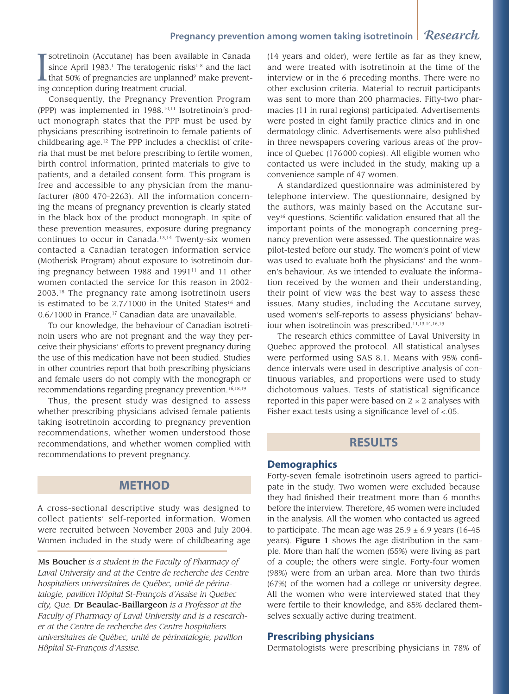# **Pregnancy prevention among women taking isotretinoin** *Research*

Intertation (Accutane) has been available in Canada<br>since April 1983.<sup>1</sup> The teratogenic risks<sup>1-8</sup> and the fact<br>that 50% of pregnancies are unplanned<sup>9</sup> make prevent-<br>ing conception during treatment crucial sotretinoin (Accutane) has been available in Canada since April 1983.<sup>1</sup> The teratogenic risks<sup>1-8</sup> and the fact ing conception during treatment crucial.

Consequently, the Pregnancy Prevention Program (PPP) was implemented in 1988.10,11 Isotretinoin's product monograph states that the PPP must be used by physicians prescribing isotretinoin to female patients of childbearing age.12 The PPP includes a checklist of criteria that must be met before prescribing to fertile women, birth control information, printed materials to give to patients, and a detailed consent form. This program is free and accessible to any physician from the manufacturer (800 470-2263). All the information concerning the means of pregnancy prevention is clearly stated in the black box of the product monograph. In spite of these prevention measures, exposure during pregnancy continues to occur in Canada.<sup>13,14</sup> Twenty-six women contacted a Canadian teratogen information service (Motherisk Program) about exposure to isotretinoin during pregnancy between 1988 and 1991<sup>11</sup> and 11 other women contacted the service for this reason in 2002- 2003.15 The pregnancy rate among isotretinoin users is estimated to be  $2.7/1000$  in the United States<sup>16</sup> and 0.6/1000 in France.17 Canadian data are unavailable.

To our knowledge, the behaviour of Canadian isotretinoin users who are not pregnant and the way they perceive their physicians' efforts to prevent pregnancy during the use of this medication have not been studied. Studies in other countries report that both prescribing physicians and female users do not comply with the monograph or recommendations regarding pregnancy prevention.16,18,19

Thus, the present study was designed to assess whether prescribing physicians advised female patients taking isotretinoin according to pregnancy prevention recommendations, whether women understood those recommendations, and whether women complied with recommendations to prevent pregnancy.

# **METHOD**

A cross-sectional descriptive study was designed to collect patients' self-reported information. Women were recruited between November 2003 and July 2004. Women included in the study were of childbearing age

Ms Boucher *is a student in the Faculty of Pharmacy of Laval University and at the Centre de recherche des Centre hospitaliers universitaires de Québec, unité de périnatalogie, pavillon Hôpital St-François d'Assise in Quebec city, Que.* Dr Beaulac-Baillargeon *is a Professor at the Faculty of Pharmacy of Laval University and is a researcher at the Centre de recherche des Centre hospitaliers universitaires de Québec, unité de périnatalogie, pavillon Hôpital St-François d'Assise.*

(14 years and older), were fertile as far as they knew, and were treated with isotretinoin at the time of the interview or in the 6 preceding months. There were no other exclusion criteria. Material to recruit participants was sent to more than 200 pharmacies. Fifty-two pharmacies (11 in rural regions) participated. Advertisements were posted in eight family practice clinics and in one dermatology clinic. Advertisements were also published in three newspapers covering various areas of the province of Quebec (176 000 copies). All eligible women who contacted us were included in the study, making up a convenience sample of 47 women.

A standardized questionnaire was administered by telephone interview. The questionnaire, designed by the authors, was mainly based on the Accutane survey<sup>16</sup> questions. Scientific validation ensured that all the important points of the monograph concerning pregnancy prevention were assessed. The questionnaire was pilot-tested before our study. The women's point of view was used to evaluate both the physicians' and the women's behaviour. As we intended to evaluate the information received by the women and their understanding, their point of view was the best way to assess these issues. Many studies, including the Accutane survey, used women's self-reports to assess physicians' behaviour when isotretinoin was prescribed.<sup>11,13,14,16,19</sup>

The research ethics committee of Laval University in Quebec approved the protocol. All statistical analyses were performed using SAS 8.1. Means with 95% confidence intervals were used in descriptive analysis of continuous variables, and proportions were used to study dichotomous values. Tests of statistical significance reported in this paper were based on  $2 \times 2$  analyses with Fisher exact tests using a significance level of  $< .05$ .

## **RESULTS**

#### **Demographics**

Forty-seven female isotretinoin users agreed to participate in the study. Two women were excluded because they had finished their treatment more than 6 months before the interview. Therefore, 45 women were included in the analysis. All the women who contacted us agreed to participate. The mean age was  $25.9 \pm 6.9$  years (16-45) years). Figure 1 shows the age distribution in the sample. More than half the women (55%) were living as part of a couple; the others were single. Forty-four women (98%) were from an urban area. More than two thirds (67%) of the women had a college or university degree. All the women who were interviewed stated that they were fertile to their knowledge, and 85% declared themselves sexually active during treatment.

## **Prescribing physicians**

Dermatologists were prescribing physicians in 78% of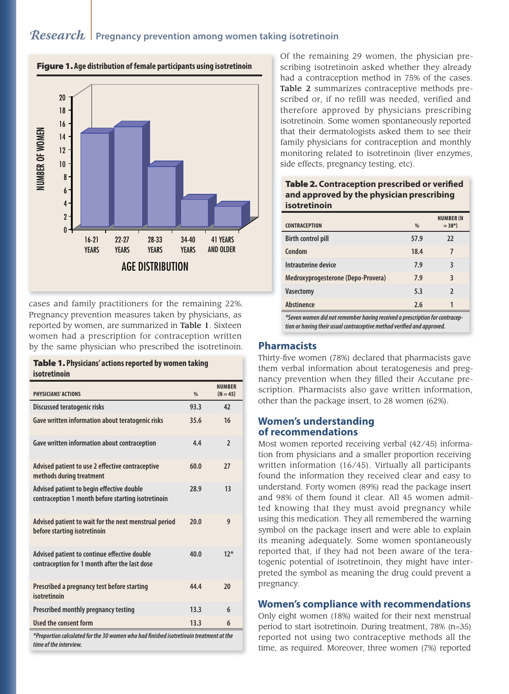# *Research* **Pregnancy prevention among women taking isotretinoin**



Figure 1. **Age distribution of female participants using isotretinoin**

cases and family practitioners for the remaining 22%. Pregnancy prevention measures taken by physicians, as reported by women, are summarized in Table 1. Sixteen women had a prescription for contraception written by the same physician who prescribed the isotretinoin.

#### Table 1. **Physicians' actions reported by women taking isotretinoin**

| PHYSICIANS' ACTIONS                                                                             | $\frac{0}{0}$ | <b>NUMBER</b><br>$(N = 45)$ |  |  |  |
|-------------------------------------------------------------------------------------------------|---------------|-----------------------------|--|--|--|
| Discussed teratogenic risks                                                                     | 93.3          | 42                          |  |  |  |
| Gave written information about teratogenic risks                                                | 35.6          | 16                          |  |  |  |
| Gave written information about contraception                                                    | 4.4           | $\overline{2}$              |  |  |  |
| Advised patient to use 2 effective contraceptive<br>methods during treatment                    | 60.0          | 27                          |  |  |  |
| Advised patient to begin effective double<br>contraception 1 month before starting isotretinoin | 28.9          | 13                          |  |  |  |
| Advised patient to wait for the next menstrual period<br>before starting isotretinoin           | 20.0          | 9                           |  |  |  |
| Advised patient to continue effective double<br>contraception for 1 month after the last dose   | 40.0          | $12*$                       |  |  |  |
| Prescribed a pregnancy test before starting<br>isotretinoin                                     | 44.4          | 20                          |  |  |  |
| Prescribed monthly pregnancy testing                                                            | 13.3          | 6                           |  |  |  |
| Used the consent form                                                                           | 13.3          | 6                           |  |  |  |
| *Proportion calculated for the 30 women who had finished isotretinoin treatment at the          |               |                             |  |  |  |

**\*Proportion calculated for the 30 women who had fi nished isotretinoin treatment at the time of the interview.**

Of the remaining 29 women, the physician prescribing isotretinoin asked whether they already had a contraception method in 75% of the cases. Table 2 summarizes contraceptive methods prescribed or, if no refill was needed, verified and therefore approved by physicians prescribing isotretinoin. Some women spontaneously reported that their dermatologists asked them to see their family physicians for contraception and monthly monitoring related to isotretinoin (liver enzymes, side effects, pregnancy testing, etc).

#### **Table 2. Contraception prescribed or verified and approved by the physician prescribing isotretinoin**

| <b>CONTRACEPTION</b>               | %    | <b>NUMBER (N</b><br>$= 38*$ |
|------------------------------------|------|-----------------------------|
| <b>Birth control pill</b>          | 57.9 | 22                          |
| Condom                             | 18.4 | 7                           |
| Intrauterine device                | 7.9  | 3                           |
| Medroxyprogesterone (Depo-Provera) | 7.9  | 3                           |
| <b>Vasectomy</b>                   | 5.3  | $\overline{\phantom{a}}$    |
| <b>Abstinence</b>                  | 2.6  | 1                           |

**\*Seven women did not remember having received a prescription for contracep**tion or having their usual contraceptive method verified and approved.

### **Pharmacists**

Thirty-five women (78%) declared that pharmacists gave them verbal information about teratogenesis and pregnancy prevention when they filled their Accutane prescription. Pharmacists also gave written information, other than the package insert, to 28 women (62%).

### **Women's understanding of recommendations**

Most women reported receiving verbal (42/45) information from physicians and a smaller proportion receiving written information (16/45). Virtually all participants found the information they received clear and easy to understand. Forty women (89%) read the package insert and 98% of them found it clear. All 45 women admitted knowing that they must avoid pregnancy while using this medication. They all remembered the warning symbol on the package insert and were able to explain its meaning adequately. Some women spontaneously reported that, if they had not been aware of the teratogenic potential of isotretinoin, they might have interpreted the symbol as meaning the drug could prevent a pregnancy.

## **Women's compliance with recommendations**

Only eight women (18%) waited for their next menstrual period to start isotretinoin. During treatment, 78% (n=35) reported not using two contraceptive methods all the time, as required. Moreover, three women (7%) reported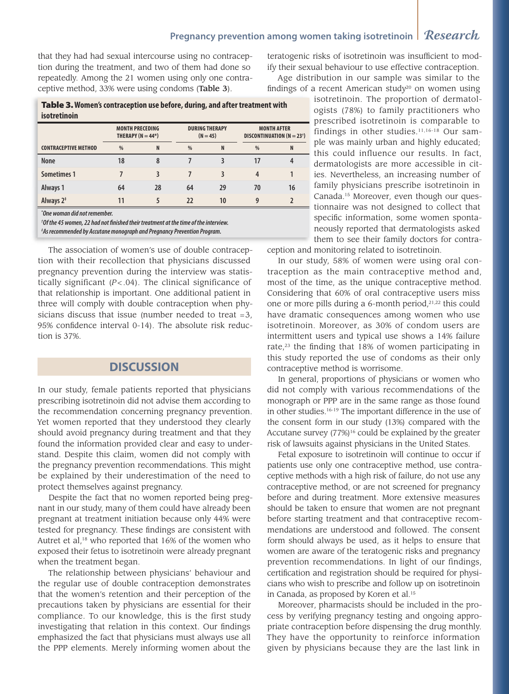# **Pregnancy prevention among women taking isotretinoin** *Research*

that they had had sexual intercourse using no contraception during the treatment, and two of them had done so repeatedly. Among the 21 women using only one contraceptive method, 33% were using condoms (Table 3).

teratogenic risks of isotretinoin was insufficient to modify their sexual behaviour to use effective contraception.

Age distribution in our sample was similar to the findings of a recent American study<sup>20</sup> on women using

Table 3. **Women's contraception use before, during, and after treatment with isotretinoin**

|                             | <b>MONTH PRECEDING</b><br>THERAPY ( $N = 44$ <sup>*</sup> ) |    | <b>DURING THERAPY</b><br>$(N = 45)$ |    | <b>MONTH AFTER</b><br>DISCONTINUATION ( $N = 23$ <sup>†</sup> ) |    |
|-----------------------------|-------------------------------------------------------------|----|-------------------------------------|----|-----------------------------------------------------------------|----|
| <b>CONTRACEPTIVE METHOD</b> | $\frac{0}{0}$                                               | N  | $\frac{0}{0}$                       | N  | $\frac{0}{0}$                                                   | N  |
| <b>None</b>                 | 18                                                          |    |                                     |    |                                                                 | 4  |
| <b>Sometimes 1</b>          |                                                             |    |                                     |    | 4                                                               |    |
| Always 1                    | 64                                                          | 28 | 64                                  | 29 | 70                                                              | 16 |
| Always 2 <sup>#</sup>       | 11                                                          |    | 22                                  | 10 | g                                                               |    |

**\* One woman did not remember.**

<sup>†</sup> Of the 45 women, 22 had not finished their treatment at the time of the interview.

**‡ As recommended by Accutane monograph and Pregnancy Prevention Program.**

The association of women's use of double contraception with their recollection that physicians discussed pregnancy prevention during the interview was statistically significant  $(P < .04)$ . The clinical significance of that relationship is important. One additional patient in three will comply with double contraception when physicians discuss that issue (number needed to treat  $=3$ , 95% confidence interval 0-14). The absolute risk reduction is 37%.

# **DISCUSSION**

In our study, female patients reported that physicians prescribing isotretinoin did not advise them according to the recommendation concerning pregnancy prevention. Yet women reported that they understood they clearly should avoid pregnancy during treatment and that they found the information provided clear and easy to understand. Despite this claim, women did not comply with the pregnancy prevention recommendations. This might be explained by their underestimation of the need to protect themselves against pregnancy.

Despite the fact that no women reported being pregnant in our study, many of them could have already been pregnant at treatment initiation because only 44% were tested for pregnancy. These findings are consistent with Autret et al,<sup>18</sup> who reported that 16% of the women who exposed their fetus to isotretinoin were already pregnant when the treatment began.

The relationship between physicians' behaviour and the regular use of double contraception demonstrates that the women's retention and their perception of the precautions taken by physicians are essential for their compliance. To our knowledge, this is the first study investigating that relation in this context. Our findings emphasized the fact that physicians must always use all the PPP elements. Merely informing women about the

isotretinoin. The proportion of dermatologists (78%) to family practitioners who prescribed isotretinoin is comparable to findings in other studies.<sup>11,16-18</sup> Our sample was mainly urban and highly educated; this could influence our results. In fact, dermatologists are more accessible in cities. Nevertheless, an increasing number of family physicians prescribe isotretinoin in Canada.15 Moreover, even though our questionnaire was not designed to collect that specific information, some women spontaneously reported that dermatologists asked them to see their family doctors for contra-

ception and monitoring related to isotretinoin.

In our study, 58% of women were using oral contraception as the main contraceptive method and, most of the time, as the unique contraceptive method. Considering that 60% of oral contraceptive users miss one or more pills during a 6-month period, $21,22$  this could have dramatic consequences among women who use isotretinoin. Moreover, as 30% of condom users are intermittent users and typical use shows a 14% failure rate, $23$  the finding that 18% of women participating in this study reported the use of condoms as their only contraceptive method is worrisome.

In general, proportions of physicians or women who did not comply with various recommendations of the monograph or PPP are in the same range as those found in other studies.16-19 The important difference in the use of the consent form in our study (13%) compared with the Accutane survey  $(77%)^{16}$  could be explained by the greater risk of lawsuits against physicians in the United States.

Fetal exposure to isotretinoin will continue to occur if patients use only one contraceptive method, use contraceptive methods with a high risk of failure, do not use any contraceptive method, or are not screened for pregnancy before and during treatment. More extensive measures should be taken to ensure that women are not pregnant before starting treatment and that contraceptive recommendations are understood and followed. The consent form should always be used, as it helps to ensure that women are aware of the teratogenic risks and pregnancy prevention recommendations. In light of our findings, certification and registration should be required for physicians who wish to prescribe and follow up on isotretinoin in Canada, as proposed by Koren et al.15

Moreover, pharmacists should be included in the process by verifying pregnancy testing and ongoing appropriate contraception before dispensing the drug monthly. They have the opportunity to reinforce information given by physicians because they are the last link in